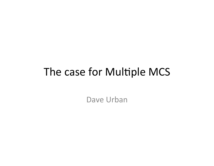## The case for Multiple MCS

Dave Urban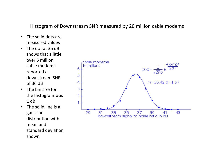#### Histogram of Downstream SNR measured by 20 million cable modems

- The solid dots are measured values
- The dot at 36 dB shows that a little over 5 million cable modems reported a downstream SNR  $of 36 dB$
- The bin size for the histogram was  $1 dB$
- $\cdot$  The solid line is a gaussian distribution with mean and standard deviation shown

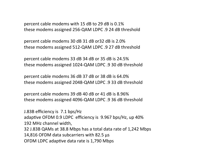percent cable modems with 15 dB to 29 dB is 0.1% these modems assigned 256-QAM LDPC .9 24 dB threshold

percent cable modems 30 dB 31 dB or32 dB is 2.0% these modems assigned 512-QAM LDPC .9 27 dB threshold

percent cable modems 33 dB 34 dB or 35 dB is 24.5% these modems assigned 1024-QAM LDPC .9 30 dB threshold

percent cable modems 36 dB 37 dB or 38 dB is 64.0% these modems assigned 2048-QAM LDPC .9 33 dB threshold

percent cable modems 39 dB 40 dB or 41 dB is 8.96% these modems assigned 4096-QAM LDPC .9 36 dB threshold

J.83B efficiency is 7.1 bps/Hz adaptive OFDM 0.9 LDPC efficiency is 9.967 bps/Hz, up 40% 192 MHz channel width, 32 J.83B QAMs at 38.8 Mbps has a total data rate of 1,242 Mbps 14,816 OFDM data subcarriers with 82.5  $\mu$ s OFDM LDPC adaptive data rate is 1,790 Mbps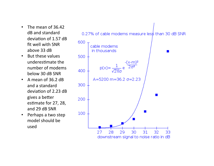- The mean of 36.42 dB and standard deviation of 1.57 dB fit well with SNR above 33 dB
- But these values underestimate the number of modems below 30 dB SNR
- A mean of 36.2 dB and a standard deviation of 2.23 dB gives a better estimate for 27, 28, and 29 dB SNR
- Perhaps a two step model should be used



0.27% of cable modems measure less than 30 dB SNR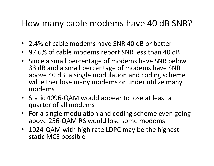### How many cable modems have 40 dB SNR?

- 2.4% of cable modems have SNR 40 dB or better
- 97.6% of cable modems report SNR less than 40 dB
- Since a small percentage of modems have SNR below 33 dB and a small percentage of modems have SNR above 40 dB, a single modulation and coding scheme will either lose many modems or under utilize many modems
- Static 4096-QAM would appear to lose at least a quarter of all modems
- For a single modulation and coding scheme even going above 256-QAM RS would lose some modems
- 1024-QAM with high rate LDPC may be the highest static MCS possible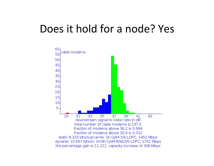### Does it hold for a node? Yes

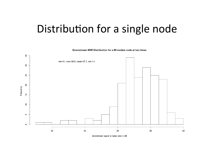### Distribution for a single node



downstream signal to noise ratio in dB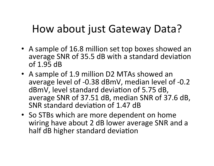## How about just Gateway Data?

- A sample of 16.8 million set top boxes showed an average SNR of 35.5 dB with a standard deviation of  $1.95$  dB
- A sample of 1.9 million D2 MTAs showed an average level of -0.38 dBmV, median level of -0.2 dBmV, level standard deviation of 5.75 dB, average SNR of 37.51 dB, median SNR of 37.6 dB, SNR standard deviation of 1.47 dB
- So STBs which are more dependent on home wiring have about 2 dB lower average SNR and a half dB higher standard deviation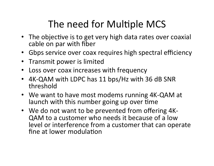# The need for Multiple MCS

- The objective is to get very high data rates over coaxial cable on par with fiber
- Gbps service over coax requires high spectral efficiency
- Transmit power is limited
- Loss over coax increases with frequency
- 4K-QAM with LDPC has 11 bps/Hz with 36 dB SNR threshold
- We want to have most modems running 4K-QAM at launch with this number going up over time
- We do not want to be prevented from offering 4K-QAM to a customer who needs it because of a low level or interference from a customer that can operate fine at lower modulation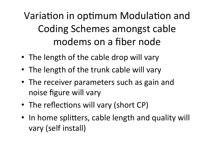Variation in optimum Modulation and Coding Schemes amongst cable modems on a fiber node

- The length of the cable drop will vary
- The length of the trunk cable will vary
- The receiver parameters such as gain and noise figure will vary
- The reflections will vary (short CP)
- In home splitters, cable length and quality will vary (self install)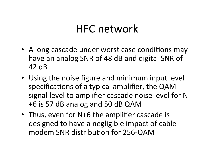## HFC network

- A long cascade under worst case conditions may have an analog SNR of 48 dB and digital SNR of 42 dB
- Using the noise figure and minimum input level specifications of a typical amplifier, the QAM signal level to amplifier cascade noise level for N +6 is 57 dB analog and 50 dB QAM
- Thus, even for N+6 the amplifier cascade is designed to have a negligible impact of cable modem SNR distribution for 256-QAM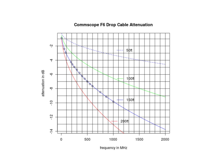



frequency in MHz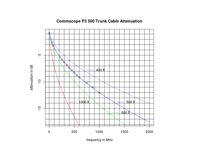

#### **Commscope P3 500 Trunk Cable Attenuation**

frequency in MHz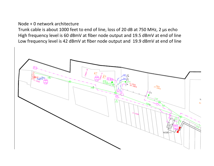#### Node + 0 network architecture

Trunk cable is about 1000 feet to end of line, loss of 20 dB at 750 MHz, 2  $\mu$ s echo High frequency level is 60 dBmV at fiber node output and 19.5 dBmV at end of line Low frequency level is 42 dBmV at fiber node output and 19.9 dBmV at end of line

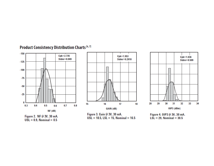

#### Product Consistency Distribution Charts [6,7]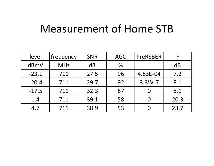### Measurement of Home STB

| level   | frequency  | <b>SNR</b> | <b>AGC</b> | <b>PreRSBER</b> |      |
|---------|------------|------------|------------|-----------------|------|
| dBmV    | <b>MHz</b> | dB         | $\%$       |                 | dB   |
| $-23.1$ | 711        | 27.5       | 96         | 4.83E-04        | 7.2  |
| $-20.4$ | 711        | 29.7       | 92         | $3.3W - 7$      | 8.1  |
| $-17.5$ | 711        | 32.3       | 87         | O               | 8.1  |
| 1.4     | 711        | 39.1       | 58         | O               | 20.3 |
| 4.7     | 711        | 38.9       | 53         |                 | 23.7 |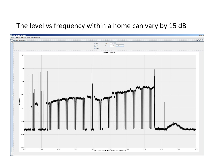### The level vs frequency within a home can vary by 15 dB

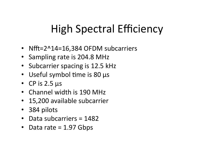# High Spectral Efficiency

- Nfft= $2^14=16,384$  OFDM subcarriers
- Sampling rate is 204.8 MHz
- Subcarrier spacing is 12.5 kHz
- Useful symbol time is 80 µs
- CP is  $2.5 \mu s$
- Channel width is 190 MHz
- 15,200 available subcarrier
- 384 pilots
- Data subcarriers  $= 1482$
- Data rate  $= 1.97$  Gbps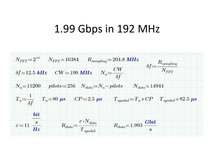### 1.99 Gbps in 192 MHz